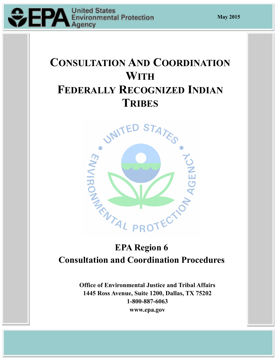

# **CONSULTATION AND COORDINATION WITH FEDERALLY RECOGNIZED INDIAN TRIBES**



# **EPA Region 6 Consultation and Coordination Procedures**

**Office of Environmental Justice and Tribal Affairs 1445 Ross Avenue, Suite 1200, Dallas, TX 75202 1-800-887-6063 www.epa.gov**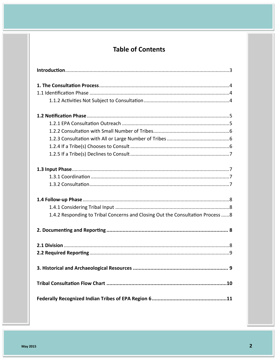# **Table of Contents**

| 1.4.2 Responding to Tribal Concerns and Closing Out the Consultation Process 8 |
|--------------------------------------------------------------------------------|
|                                                                                |
|                                                                                |
|                                                                                |
| 9                                                                              |
|                                                                                |
|                                                                                |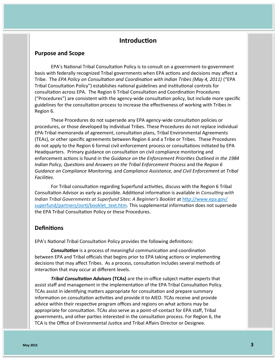# **Introduction**

#### **Purpose and Scope**

EPA's National Tribal Consultation Policy is to consult on a government-to-government basis with federally recognized Tribal governments when EPA actions and decisions may affect a Tribe. The *EPA Policy on Consultation and Coordination with Indian Tribes (May 4, 2011)* ("EPA Tribal Consultation Policy") establishes national guidelines and institutional controls for consultation across EPA. The Region 6 Tribal Consultation and Coordination Procedures ("Procedures") are consistent with the agency-wide consultation policy, but include more specific guidelines for the consultation process to increase the effectiveness of working with Tribes in Region 6.

These Procedures do not supersede any EPA agency-wide consultation policies or procedures, or those developed by individual Tribes. These Procedures do not replace individual EPA-Tribal memoranda of agreement, consultation plans, Tribal Environmental Agreements (TEAs), or other specific agreements between Region 6 and a Tribe or Tribes. These Procedures do not apply to the Region 6 formal civil enforcement process or consultations initiated by EPA Headquarters. Primary guidance on consultation on civil compliance monitoring and enforcement actions is found in the *Guidance on the Enforcement Priorities Outlined in the 1984 Indian Policy, Questions and Answers on the Tribal Enforcement Process* and the *Region 6 Guidance on Compliance Monitoring,* and *Compliance Assistance, and Civil Enforcement at Tribal Facilities*.

For Tribal consultation regarding Superfund activities, discuss with the Region 6 Tribal Consultation Advisor as early as possible. Additional information is available in *Consulting with Indian Tribal Governments at Superfund Sites: A Beginner's Booklet* at [http://www.epa.gov/](http://www.epa.gov/superfund/partners/osrti/booklet_text.htm) [superfund/partners/osrti/booklet\\_text.htm.](http://www.epa.gov/superfund/partners/osrti/booklet_text.htm) This supplemental information does not supersede the EPA Tribal Consultation Policy or these Procedures.

#### **Definitions**

EPA's National Tribal Consultation Policy provides the following definitions:

*Consultation* is a process of meaningful communication and coordination between EPA and Tribal officials that begins prior to EPA taking actions or implementing decisions that may affect Tribes. As a process, consultation includes several methods of interaction that may occur at different levels.

*Tribal Consultation Advisors* **(TCAs)** are the in-office subject matter experts that assist staff and management in the implementation of the EPA Tribal Consultation Policy. TCAs assist in identifying matters appropriate for consultation and prepare summary information on consultation activities and provide it to AIEO. TCAs receive and provide advice within their respective program offices and regions on what actions may be appropriate for consultation. TCAs also serve as a point-of-contact for EPA staff, Tribal governments, and other parties interested in the consultation process. For Region 6, the TCA is the Office of Environmental Justice and Tribal Affairs Director or Designee.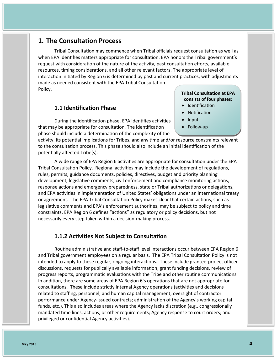# **1. The Consultation Process**

Tribal Consultation may commence when Tribal officials request consultation as well as when EPA identifies matters appropriate for consultation. EPA honors the Tribal government's request with consideration of the nature of the activity, past consultation efforts, available resources, timing considerations, and all other relevant factors. The appropriate level of interaction initiated by Region 6 is determined by past and current practices, with adjustments made as needed consistent with the EPA Tribal Consultation Policy.

#### **1.1 Identification Phase**

During the identification phase, EPA identifies activities that may be appropriate for consultation. The identification phase should include a determination of the complexity of the

activity, its potential implications for Tribes, and any time and/or resource constraints relevant to the consultation process. This phase should also include an initial identification of the potentially affected Tribe(s).

A wide range of EPA Region 6 activities are appropriate for consultation under the EPA Tribal Consultation Policy. Regional activities may include the development of regulations, rules, permits, guidance documents, policies, directives, budget and priority planning development, legislative comments, civil enforcement and compliance monitoring actions, response actions and emergency preparedness, state or Tribal authorizations or delegations, and EPA activities in implementation of United States' obligations under an international treaty or agreement. The EPA Tribal Consultation Policy makes clear that certain actions, such as legislative comments and EPA's enforcement authorities, may be subject to policy and time constraints. EPA Region 6 defines "actions" as regulatory or policy decisions, but not necessarily every step taken within a decision-making process.

#### **1.1.2 Activities Not Subject to Consultation**

Routine administrative and staff-to-staff level interactions occur between EPA Region 6 and Tribal government employees on a regular basis. The EPA Tribal Consultation Policy is not intended to apply to these regular, ongoing interactions. These include grantee-project officer discussions, requests for publically available information, grant funding decisions, review of progress reports, programmatic evaluations with the Tribe and other routine communications. In addition, there are some areas of EPA Region 6's operations that are not appropriate for consultations. These include strictly internal Agency operations (activities and decisions related to staffing, personnel, and human capital management; oversight of contractor performance under Agency-issued contracts; administration of the Agency's working capital funds, etc.). This also includes areas where the Agency lacks discretion (e.g., congressionally mandated time lines, actions, or other requirements; Agency response to court orders; and privileged or confidential Agency activities).

#### **Tribal Consultation at EPA consists of four phases:**

- Identification
- Notification
- $\bullet$  Input
- Follow-up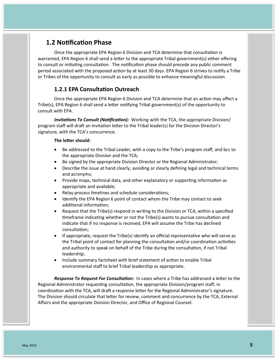# **1.2 Notification Phase**

Once the appropriate EPA Region 6 Division and TCA determine that consultation is warranted, EPA Region 6 shall send a letter to the appropriate Tribal government(s) either offering to consult or initiating consultation. The notification phase should precede any public comment period associated with the proposed action by at least 30 days. EPA Region 6 strives to notify a Tribe or Tribes of the opportunity to consult as early as possible to enhance meaningful discussion.

#### **1.2.1 EPA Consultation Outreach**

Once the appropriate EPA Region 6 Division and TCA determine that an action may affect a Tribe(s), EPA Region 6 shall send a letter notifying Tribal government(s) of the opportunity to consult with EPA.

*Invitations To Consult (Notification):* Working with the TCA, the appropriate Division/ program staff will draft an invitation letter to the Tribal leader(s) for the Division Director's signature, with the TCA's concurrence.

#### **The letter should:**

- Be addressed to the Tribal Leader, with a copy to the Tribe's program staff, and bcc to the appropriate Division and the TCA;
- Be signed by the appropriate Division Director or the Regional Administrator;
- Describe the issue at hand clearly, avoiding or clearly defining legal and technical terms and acronyms;
- Provide maps, technical data, and other explanatory or supporting information as appropriate and available;
- Relay process timelines and schedule considerations;
- Identify the EPA Region 6 point of contact whom the Tribe may contact to seek additional information;
- Request that the Tribe(s) respond in writing to the Division or TCA, within a specified timeframe indicating whether or not the Tribe(s) wants to pursue consultation and indicate that if no response is received, EPA will assume the Tribe has declined consultation;
- If appropriate, request the Tribe(s) identify an official representative who will serve as the Tribal point of contact for planning the consultation and/or coordination activities and authority to speak on behalf of the Tribe during the consultation, if not Tribal leadership;
- Include summary factsheet with brief statement of action to enable Tribal environmental staff to brief Tribal leadership as appropriate.

*Response To Request For Consultation***:** In cases where a Tribe has addressed a letter to the Regional Administrator requesting consultation, the appropriate Division/program staff, in coordination with the TCA, will draft a response letter for the Regional Administrator's signature. The Division should circulate that letter for review, comment and concurrence by the TCA, External Affairs and the appropriate Division Director, and Office of Regional Counsel.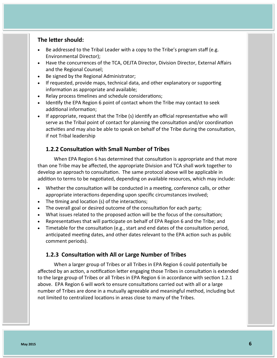#### **The letter should:**

- Be addressed to the Tribal Leader with a copy to the Tribe's program staff (e.g. Environmental Director);
- Have the concurrences of the TCA, OEJTA Director, Division Director, External Affairs and the Regional Counsel;
- Be signed by the Regional Administrator;
- If requested, provide maps, technical data, and other explanatory or supporting information as appropriate and available;
- Relay process timelines and schedule considerations;
- Identify the EPA Region 6 point of contact whom the Tribe may contact to seek additional information;
- If appropriate, request that the Tribe (s) identify an official representative who will serve as the Tribal point of contact for planning the consultation and/or coordination activities and may also be able to speak on behalf of the Tribe during the consultation, if not Tribal leadership

### **1.2.2 Consultation with Small Number of Tribes**

When EPA Region 6 has determined that consultation is appropriate and that more than one Tribe may be affected, the appropriate Division and TCA shall work together to develop an approach to consultation. The same protocol above will be applicable in addition to terms to be negotiated, depending on available resources, which may include:

- Whether the consultation will be conducted in a meeting, conference calls, or other appropriate interactions depending upon specific circumstances involved;
- The timing and location (s) of the interactions;
- The overall goal or desired outcome of the consultation for each party;
- What issues related to the proposed action will be the focus of the consultation;
- Representatives that will participate on behalf of EPA Region 6 and the Tribe; and
- Timetable for the consultation (e.g., start and end dates of the consultation period, anticipated meeting dates, and other dates relevant to the EPA action such as public comment periods).

### **1.2.3 Consultation with All or Large Number of Tribes**

When a larger group of Tribes or all Tribes in EPA Region 6 could potentially be affected by an action, a notification letter engaging those Tribes in consultation is extended to the large group of Tribes or all Tribes in EPA Region 6 in accordance with section 1.2.1 above. EPA Region 6 will work to ensure consultations carried out with all or a large number of Tribes are done in a mutually agreeable and meaningful method, including but not limited to centralized locations in areas close to many of the Tribes.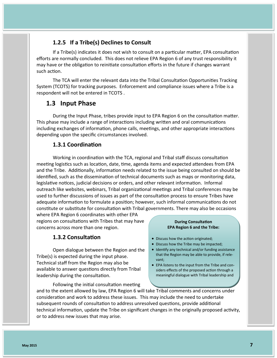# **1.2.5 If a Tribe(s) Declines to Consult**

If a Tribe(s) indicates it does not wish to consult on a particular matter, EPA consultation efforts are normally concluded. This does not relieve EPA Region 6 of any trust responsibility it may have or the obligation to reinitiate consultation efforts in the future if changes warrant such action.

The TCA will enter the relevant data into the Tribal Consultation Opportunities Tracking System (TCOTS) for tracking purposes. Enforcement and compliance issues where a Tribe is a respondent will not be entered in TCOTS .

# **1.3 Input Phase**

During the Input Phase, tribes provide input to EPA Region 6 on the consultation matter. This phase may include a range of interactions including written and oral communications including exchanges of information, phone calls, meetings, and other appropriate interactions depending upon the specific circumstances involved.

## **1.3.1 Coordination**

Working in coordination with the TCA, regional and Tribal staff discuss consultation meeting logistics such as location, date, time, agenda items and expected attendees from EPA and the Tribe. Additionally, information needs related to the issue being consulted on should be identified, such as the dissemination of technical documents such as maps or monitoring data, legislative notices, judicial decisions or orders, and other relevant information. Informal outreach like websites, webinars, Tribal organizational meetings and Tribal conferences may be used to further discussions of issues as part of the consultation process to ensure Tribes have adequate information to formulate a position; however, such informal communications do not constitute or substitute for consultation with Tribal governments. There may also be occasions where EPA Region 6 coordinates with other EPA

regions on consultations with Tribes that may have concerns across more than one region.

### **1.3.2 Consultation**

Open dialogue between the Region and the Tribe(s) is expected during the input phase. Technical staff from the Region may also be available to answer questions directly from Tribal leadership during the consultation.

Following the initial consultation meeting

#### **During Consultation EPA Region 6 and the Tribe:**

- Discuss how the action originated;
- Discuss how the Tribe may be impacted;
- Identify any technical and/or funding assistance that the Region may be able to provide, if relevant;
- EPA listens to the input from the Tribe and considers effects of the proposed action through a meaningful dialogue with Tribal leadership and

and to the extent allowed by law, EPA Region 6 will take Tribal comments and concerns under consideration and work to address these issues. This may include the need to undertake subsequent rounds of consultation to address unresolved questions, provide additional technical information, update the Tribe on significant changes in the originally proposed activity, or to address new issues that may arise.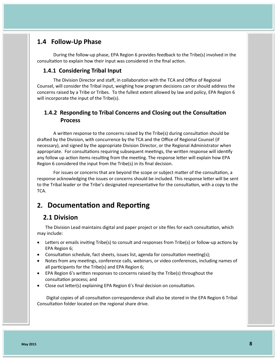# **1.4 Follow-Up Phase**

During the follow-up phase, EPA Region 6 provides feedback to the Tribe(s) involved in the consultation to explain how their input was considered in the final action.

#### **1.4.1 Considering Tribal Input**

The Division Director and staff, in collaboration with the TCA and Office of Regional Counsel, will consider the Tribal input, weighing how program decisions can or should address the concerns raised by a Tribe or Tribes. To the fullest extent allowed by law and policy, EPA Region 6 will incorporate the input of the Tribe(s).

# **1.4.2 Responding to Tribal Concerns and Closing out the Consultation Process**

A written response to the concerns raised by the Tribe(s) during consultation should be drafted by the Division, with concurrence by the TCA and the Office of Regional Counsel (if necessary), and signed by the appropriate Division Director, or the Regional Administrator when appropriate. For consultations requiring subsequent meetings, the written response will identify any follow up action items resulting from the meeting. The response letter will explain how EPA Region 6 considered the input from the Tribe(s) in its final decision.

For issues or concerns that are beyond the scope or subject matter of the consultation, a response acknowledging the issues or concerns should be included. This response letter will be sent to the Tribal leader or the Tribe's designated representative for the consultation, with a copy to the TCA.

# **2. Documentation and Reporting**

## **2.1 Division**

The Division Lead maintains digital and paper project or site files for each consultation, which may include:

- Letters or emails inviting Tribe(s) to consult and responses from Tribe(s) or follow-up actions by EPA Region 6;
- Consultation schedule, fact sheets, issues list, agenda for consultation meeting(s);
- Notes from any meetings, conference calls, webinars, or video conferences, including names of all participants for the Tribe(s) and EPA Region 6;
- EPA Region 6's written responses to concerns raised by the Tribe(s) throughout the consultation process; and
- Close out letter(s) explaining EPA Region 6's final decision on consultation.

Digital copies of all consultation correspondence shall also be stored in the EPA Region 6 Tribal Consultation folder located on the regional share drive.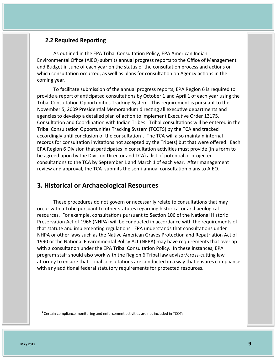#### **2.2 Required Reporting**

As outlined in the EPA Tribal Consultation Policy, EPA American Indian Environmental Office (AIEO) submits annual progress reports to the Office of Management and Budget in June of each year on the status of the consultation process and actions on which consultation occurred, as well as plans for consultation on Agency actions in the coming year.

To facilitate submission of the annual progress reports, EPA Region 6 is required to provide a report of anticipated consultations by October 1 and April 1 of each year using the Tribal Consultation Opportunities Tracking System. This requirement is pursuant to the November 5, 2009 Presidential Memorandum directing all executive departments and agencies to develop a detailed plan of action to implement Executive Order 13175, Consultation and Coordination with Indian Tribes. Tribal consultations will be entered in the Tribal Consultation Opportunities Tracking System (TCOTS) by the TCA and tracked accordingly until conclusion of the consultation<sup>1</sup>. The TCA will also maintain internal records for consultation invitations not accepted by the Tribe(s) but that were offered. Each EPA Region 6 Division that participates in consultation activities must provide (in a form to be agreed upon by the Division Director and TCA) a list of potential or projected consultations to the TCA by September 1 and March 1 of each year. After management review and approval, the TCA submits the semi-annual consultation plans to AIEO.

# **3. Historical or Archaeological Resources**

These procedures do not govern or necessarily relate to consultations that may occur with a Tribe pursuant to other statutes regarding historical or archaeological resources. For example, consultations pursuant to Section 106 of the National Historic Preservation Act of 1966 (NHPA) will be conducted in accordance with the requirements of that statute and implementing regulations. EPA understands that consultations under NHPA or other laws such as the Native American Graves Protection and Repatriation Act of 1990 or the National Environmental Policy Act (NEPA) may have requirements that overlap with a consultation under the EPA Tribal Consultation Policy. In these instances, EPA program staff should also work with the Region 6 Tribal law advisor/cross-cutting law attorney to ensure that Tribal consultations are conducted in a way that ensures compliance with any additional federal statutory requirements for protected resources.

 $1$  Certain compliance monitoring and enforcement activities are not included in TCOTs.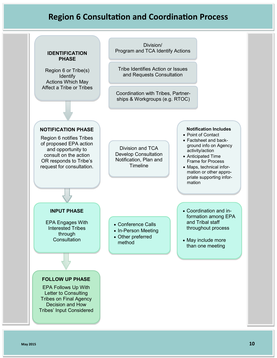# **Region 6 Consultation and Coordination Process**